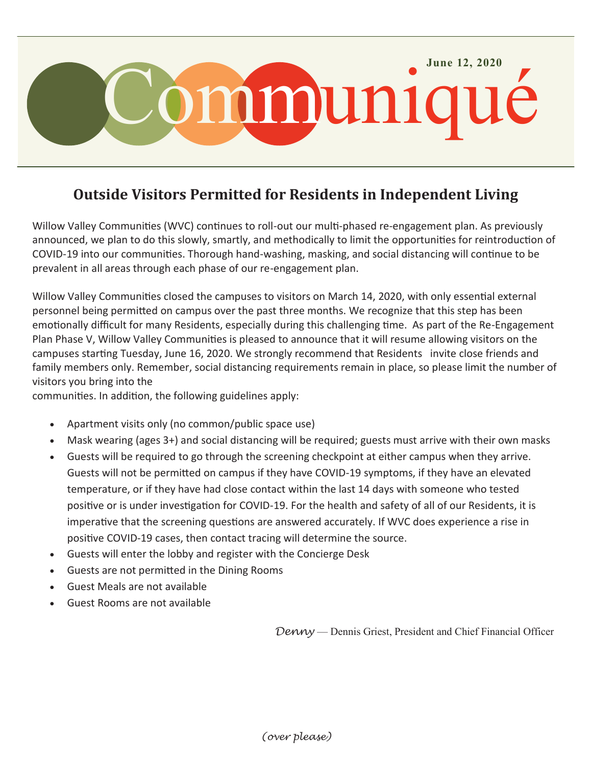

## **Outside Visitors Permitted for Residents in Independent Living**

Willow Valley Communities (WVC) continues to roll-out our multi-phased re-engagement plan. As previously announced, we plan to do this slowly, smartly, and methodically to limit the opportunities for reintroduction of COVID-19 into our communities. Thorough hand-washing, masking, and social distancing will continue to be prevalent in all areas through each phase of our re-engagement plan.

Willow Valley Communities closed the campuses to visitors on March 14, 2020, with only essential external personnel being permitted on campus over the past three months. We recognize that this step has been emotionally difficult for many Residents, especially during this challenging time. As part of the Re-Engagement Plan Phase V, Willow Valley Communities is pleased to announce that it will resume allowing visitors on the campuses starting Tuesday, June 16, 2020. We strongly recommend that Residents invite close friends and family members only. Remember, social distancing requirements remain in place, so please limit the number of visitors you bring into the

communities. In addition, the following guidelines apply:

- Apartment visits only (no common/public space use)
- Mask wearing (ages 3+) and social distancing will be required; guests must arrive with their own masks
- Guests will be required to go through the screening checkpoint at either campus when they arrive. Guests will not be permitted on campus if they have COVID-19 symptoms, if they have an elevated temperature, or if they have had close contact within the last 14 days with someone who tested positive or is under investigation for COVID-19. For the health and safety of all of our Residents, it is imperative that the screening questions are answered accurately. If WVC does experience a rise in positive COVID-19 cases, then contact tracing will determine the source.
- Guests will enter the lobby and register with the Concierge Desk
- Guests are not permitted in the Dining Rooms
- Guest Meals are not available
- Guest Rooms are not available

*Denny* — Dennis Griest, President and Chief Financial Officer